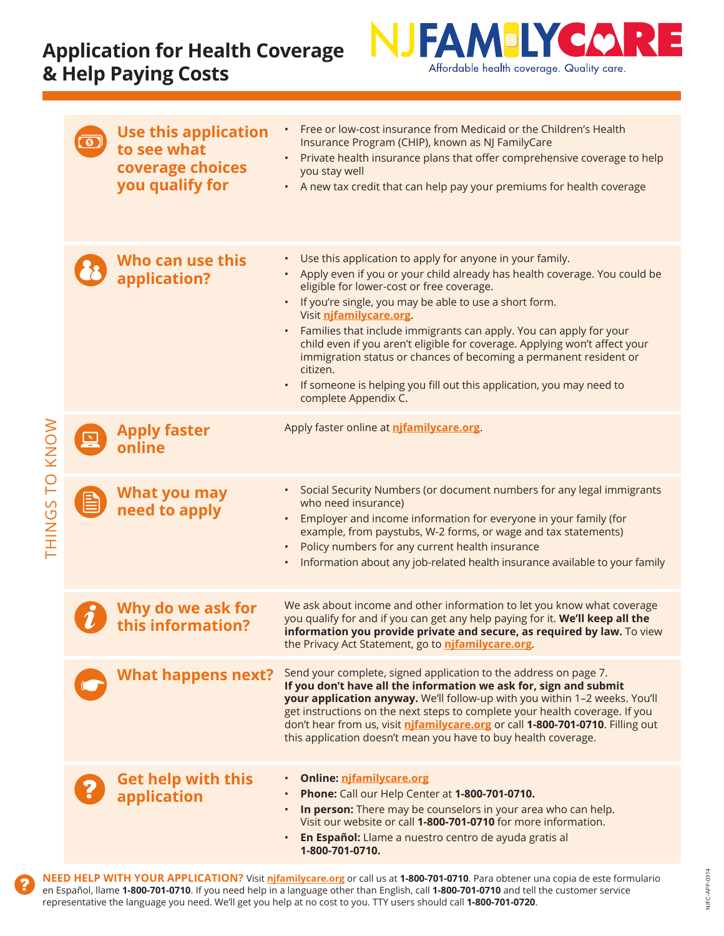## **Application for Health Coverage & Help Paying Costs**



NJFC-APP-0314

NJFC-APP-0314

|                |                | <b>Use this application</b><br>to see what<br>coverage choices<br>you qualify for | Free or low-cost insurance from Medicaid or the Children's Health<br>Insurance Program (CHIP), known as NJ FamilyCare<br>Private health insurance plans that offer comprehensive coverage to help<br>$\bullet$<br>you stay well<br>A new tax credit that can help pay your premiums for health coverage<br>$\bullet$                                                                                                                                                                                                                                                                                                      |
|----------------|----------------|-----------------------------------------------------------------------------------|---------------------------------------------------------------------------------------------------------------------------------------------------------------------------------------------------------------------------------------------------------------------------------------------------------------------------------------------------------------------------------------------------------------------------------------------------------------------------------------------------------------------------------------------------------------------------------------------------------------------------|
| THINGS TO KNOW |                | Who can use this<br>application?                                                  | Use this application to apply for anyone in your family.<br>$\bullet$<br>Apply even if you or your child already has health coverage. You could be<br>eligible for lower-cost or free coverage.<br>If you're single, you may be able to use a short form.<br>Visit njfamilycare.org.<br>Families that include immigrants can apply. You can apply for your<br>child even if you aren't eligible for coverage. Applying won't affect your<br>immigration status or chances of becoming a permanent resident or<br>citizen.<br>If someone is helping you fill out this application, you may need to<br>complete Appendix C. |
|                | $\mathbf{X}_i$ | <b>Apply faster</b><br>online                                                     | Apply faster online at njfamilycare.org.                                                                                                                                                                                                                                                                                                                                                                                                                                                                                                                                                                                  |
|                | E              | What you may<br>need to apply                                                     | Social Security Numbers (or document numbers for any legal immigrants<br>$\bullet$<br>who need insurance)<br>Employer and income information for everyone in your family (for<br>example, from paystubs, W-2 forms, or wage and tax statements)<br>Policy numbers for any current health insurance<br>Information about any job-related health insurance available to your family                                                                                                                                                                                                                                         |
|                |                | Why do we ask for<br>this information?                                            | We ask about income and other information to let you know what coverage<br>you qualify for and if you can get any help paying for it. We'll keep all the<br>information you provide private and secure, as required by law. To view<br>the Privacy Act Statement, go to njfamilycare.org.                                                                                                                                                                                                                                                                                                                                 |
|                |                | <b>What happens next?</b>                                                         | Send your complete, signed application to the address on page 7.<br>If you don't have all the information we ask for, sign and submit<br>your application anyway. We'll follow-up with you within 1-2 weeks. You'll<br>get instructions on the next steps to complete your health coverage. If you<br>don't hear from us, visit nifamilycare.org or call 1-800-701-0710. Filling out<br>this application doesn't mean you have to buy health coverage.                                                                                                                                                                    |
|                |                | <b>Get help with this</b><br>application                                          | <b>Online: njfamilycare.org</b><br>Phone: Call our Help Center at 1-800-701-0710.<br>In person: There may be counselors in your area who can help.<br>$\bullet$<br>Visit our website or call 1-800-701-0710 for more information.<br>En Español: Llame a nuestro centro de ayuda gratis al<br>1-800-701-0710.                                                                                                                                                                                                                                                                                                             |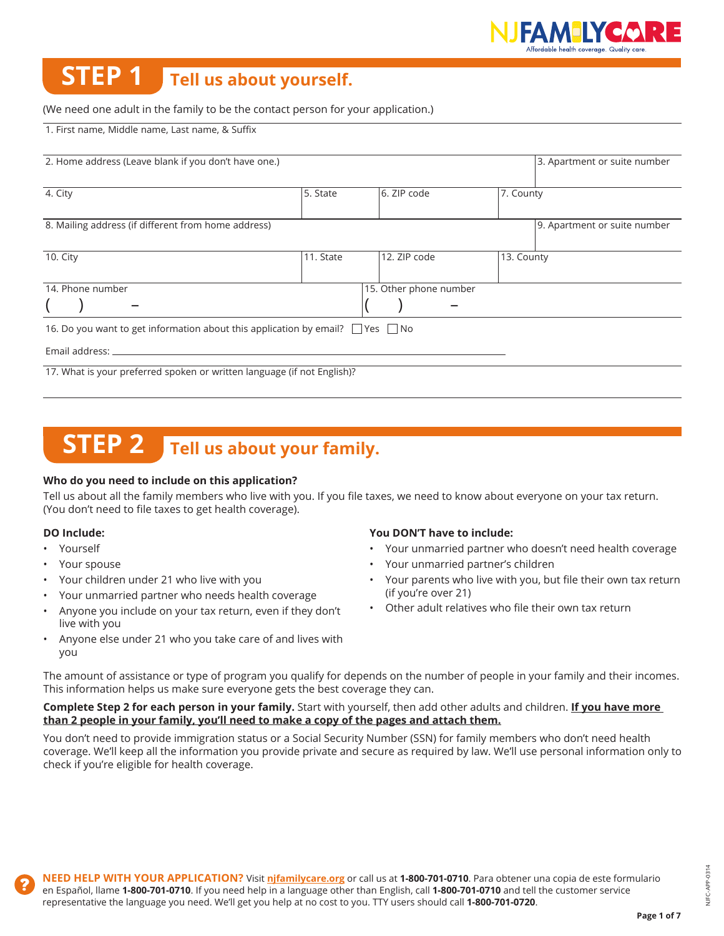

# **STEP 1 Tell us about yourself.**

#### (We need one adult in the family to be the contact person for your application.)

1. First name, Middle name, Last name, & Suffix

| 2. Home address (Leave blank if you don't have one.)                                     | 3. Apartment or suite number |                        |                              |
|------------------------------------------------------------------------------------------|------------------------------|------------------------|------------------------------|
| 4. City                                                                                  | 5. State                     | 6. ZIP code            | 7. County                    |
| 8. Mailing address (if different from home address)                                      |                              |                        | 9. Apartment or suite number |
| 10. City                                                                                 | 11. State                    | 12. ZIP code           | 13. County                   |
| 14. Phone number                                                                         |                              | 15. Other phone number |                              |
|                                                                                          |                              |                        |                              |
| 16. Do you want to get information about this application by email? $\Box$ Yes $\Box$ No |                              |                        |                              |
| Email address: __                                                                        |                              |                        |                              |
| 17. What is your preferred spoken or written language (if not English)?                  |                              |                        |                              |

## **STEP 2** Tell us about your family.

#### **Who do you need to include on this application?**

Tell us about all the family members who live with you. If you file taxes, we need to know about everyone on your tax return. (You don't need to file taxes to get health coverage).

#### **DO Include:**

- Yourself
- Your spouse
- Your children under 21 who live with you
- Your unmarried partner who needs health coverage
- Anyone you include on your tax return, even if they don't live with you
- Anyone else under 21 who you take care of and lives with you

#### **You DON'T have to include:**

- Your unmarried partner who doesn't need health coverage
- Your unmarried partner's children
- Your parents who live with you, but file their own tax return (if you're over 21)
- Other adult relatives who file their own tax return

The amount of assistance or type of program you qualify for depends on the number of people in your family and their incomes. This information helps us make sure everyone gets the best coverage they can.

#### **Complete Step 2 for each person in your family.** Start with yourself, then add other adults and children. **If you have more than 2 people in your family, you'll need to make a copy of the pages and attach them.**

You don't need to provide immigration status or a Social Security Number (SSN) for family members who don't need health coverage. We'll keep all the information you provide private and secure as required by law. We'll use personal information only to check if you're eligible for health coverage.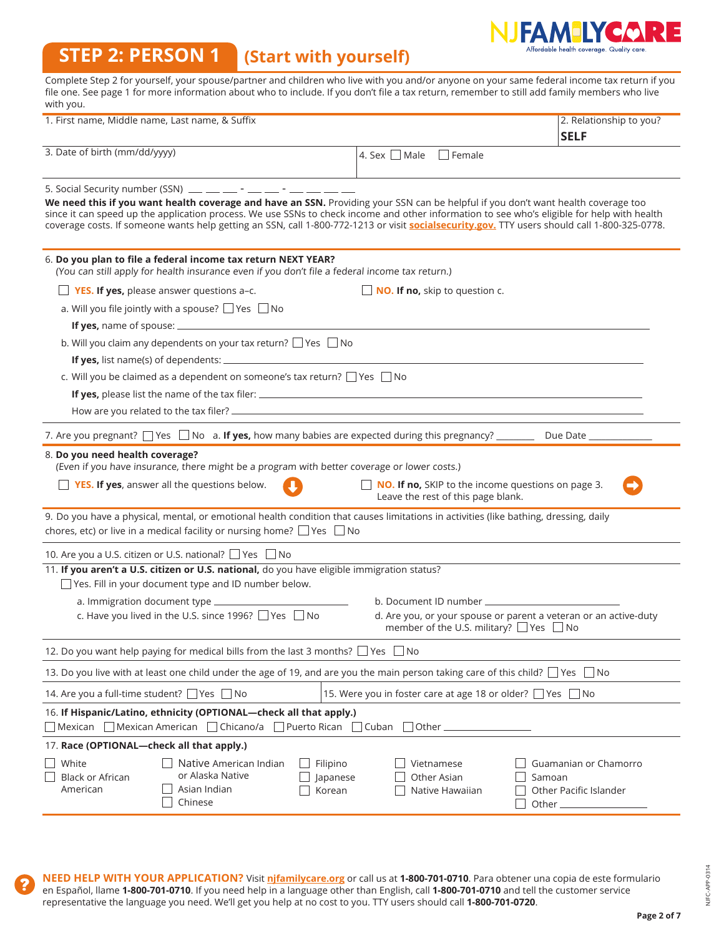# NJFAMILYCARE

#### **STEP 2: PERSON 1 (Start with yourself)**

| <b>STEP 2: PERSON 1</b>                                                                                                                                                                                                                                                                                                                                                                                                                                                                                                                                                                                                                                                                                                                       | (Start with yourself)          |                    |                                              | Alfordable nealth coverage. Quality care                                                                              |
|-----------------------------------------------------------------------------------------------------------------------------------------------------------------------------------------------------------------------------------------------------------------------------------------------------------------------------------------------------------------------------------------------------------------------------------------------------------------------------------------------------------------------------------------------------------------------------------------------------------------------------------------------------------------------------------------------------------------------------------------------|--------------------------------|--------------------|----------------------------------------------|-----------------------------------------------------------------------------------------------------------------------|
| Complete Step 2 for yourself, your spouse/partner and children who live with you and/or anyone on your same federal income tax return if you<br>file one. See page 1 for more information about who to include. If you don't file a tax return, remember to still add family members who live<br>with you.                                                                                                                                                                                                                                                                                                                                                                                                                                    |                                |                    |                                              |                                                                                                                       |
| 1. First name, Middle name, Last name, & Suffix                                                                                                                                                                                                                                                                                                                                                                                                                                                                                                                                                                                                                                                                                               |                                |                    |                                              | 2. Relationship to you?<br><b>SELF</b>                                                                                |
| 3. Date of birth (mm/dd/yyyy)                                                                                                                                                                                                                                                                                                                                                                                                                                                                                                                                                                                                                                                                                                                 |                                | 4. Sex $\Box$ Male | $\Box$ Female                                |                                                                                                                       |
| 5. Social Security number (SSN) $\frac{1}{2}$ $\frac{1}{2}$ $\frac{1}{2}$ $\frac{1}{2}$ $\frac{1}{2}$ $\frac{1}{2}$ $\frac{1}{2}$ $\frac{1}{2}$ $\frac{1}{2}$ $\frac{1}{2}$ $\frac{1}{2}$ $\frac{1}{2}$ $\frac{1}{2}$ $\frac{1}{2}$ $\frac{1}{2}$ $\frac{1}{2}$ $\frac{1}{2}$ $\frac{1}{2}$ $\frac{1}{2}$<br>We need this if you want health coverage and have an SSN. Providing your SSN can be helpful if you don't want health coverage too<br>since it can speed up the application process. We use SSNs to check income and other information to see who's eligible for help with health<br>coverage costs. If someone wants help getting an SSN, call 1-800-772-1213 or visit socialsecurity.gov. TTY users should call 1-800-325-0778. |                                |                    |                                              |                                                                                                                       |
| 6. Do you plan to file a federal income tax return NEXT YEAR?<br>(You can still apply for health insurance even if you don't file a federal income tax return.)                                                                                                                                                                                                                                                                                                                                                                                                                                                                                                                                                                               |                                |                    |                                              |                                                                                                                       |
| $\Box$ <b>YES. If yes,</b> please answer questions a-c.                                                                                                                                                                                                                                                                                                                                                                                                                                                                                                                                                                                                                                                                                       |                                |                    | <b>NO. If no,</b> skip to question c.        |                                                                                                                       |
| a. Will you file jointly with a spouse? $\Box$ Yes $\Box$ No                                                                                                                                                                                                                                                                                                                                                                                                                                                                                                                                                                                                                                                                                  |                                |                    |                                              |                                                                                                                       |
|                                                                                                                                                                                                                                                                                                                                                                                                                                                                                                                                                                                                                                                                                                                                               |                                |                    |                                              |                                                                                                                       |
| b. Will you claim any dependents on your tax return? Ves No                                                                                                                                                                                                                                                                                                                                                                                                                                                                                                                                                                                                                                                                                   |                                |                    |                                              |                                                                                                                       |
|                                                                                                                                                                                                                                                                                                                                                                                                                                                                                                                                                                                                                                                                                                                                               |                                |                    |                                              |                                                                                                                       |
| c. Will you be claimed as a dependent on someone's tax return? □ Yes □ No                                                                                                                                                                                                                                                                                                                                                                                                                                                                                                                                                                                                                                                                     |                                |                    |                                              |                                                                                                                       |
|                                                                                                                                                                                                                                                                                                                                                                                                                                                                                                                                                                                                                                                                                                                                               |                                |                    |                                              |                                                                                                                       |
|                                                                                                                                                                                                                                                                                                                                                                                                                                                                                                                                                                                                                                                                                                                                               |                                |                    |                                              |                                                                                                                       |
|                                                                                                                                                                                                                                                                                                                                                                                                                                                                                                                                                                                                                                                                                                                                               |                                |                    |                                              |                                                                                                                       |
| 7. Are you pregnant? $\Box$ Yes $\Box$ No a. If yes, how many babies are expected during this pregnancy? _______                                                                                                                                                                                                                                                                                                                                                                                                                                                                                                                                                                                                                              |                                |                    |                                              | Due Date                                                                                                              |
| 8. Do you need health coverage?<br>(Even if you have insurance, there might be a program with better coverage or lower costs.)                                                                                                                                                                                                                                                                                                                                                                                                                                                                                                                                                                                                                |                                |                    |                                              |                                                                                                                       |
| $\Box$ YES. If yes, answer all the questions below.                                                                                                                                                                                                                                                                                                                                                                                                                                                                                                                                                                                                                                                                                           |                                |                    |                                              | NO. If no, SKIP to the income questions on page 3.                                                                    |
|                                                                                                                                                                                                                                                                                                                                                                                                                                                                                                                                                                                                                                                                                                                                               |                                |                    | Leave the rest of this page blank.           |                                                                                                                       |
| 9. Do you have a physical, mental, or emotional health condition that causes limitations in activities (like bathing, dressing, daily                                                                                                                                                                                                                                                                                                                                                                                                                                                                                                                                                                                                         |                                |                    |                                              |                                                                                                                       |
| chores, etc) or live in a medical facility or nursing home? $\Box$ Yes $\Box$ No                                                                                                                                                                                                                                                                                                                                                                                                                                                                                                                                                                                                                                                              |                                |                    |                                              |                                                                                                                       |
| 10. Are you a U.S. citizen or U.S. national? □ Yes □ No                                                                                                                                                                                                                                                                                                                                                                                                                                                                                                                                                                                                                                                                                       |                                |                    |                                              |                                                                                                                       |
| 11. If you aren't a U.S. citizen or U.S. national, do you have eligible immigration status?                                                                                                                                                                                                                                                                                                                                                                                                                                                                                                                                                                                                                                                   |                                |                    |                                              |                                                                                                                       |
| $\exists$ Yes. Fill in your document type and ID number below.                                                                                                                                                                                                                                                                                                                                                                                                                                                                                                                                                                                                                                                                                |                                |                    |                                              |                                                                                                                       |
| a. Immigration document type _                                                                                                                                                                                                                                                                                                                                                                                                                                                                                                                                                                                                                                                                                                                |                                |                    | b. Document ID number _                      |                                                                                                                       |
| c. Have you lived in the U.S. since 1996? $\Box$ Yes $\Box$ No                                                                                                                                                                                                                                                                                                                                                                                                                                                                                                                                                                                                                                                                                |                                |                    |                                              | d. Are you, or your spouse or parent a veteran or an active-duty<br>member of the U.S. military? $\Box$ Yes $\Box$ No |
| 12. Do you want help paying for medical bills from the last 3 months? $\Box$ Yes $\Box$ No                                                                                                                                                                                                                                                                                                                                                                                                                                                                                                                                                                                                                                                    |                                |                    |                                              |                                                                                                                       |
| 13. Do you live with at least one child under the age of 19, and are you the main person taking care of this child? $\Box$ Yes $\Box$ No                                                                                                                                                                                                                                                                                                                                                                                                                                                                                                                                                                                                      |                                |                    |                                              |                                                                                                                       |
| 14. Are you a full-time student? □ Yes □ No                                                                                                                                                                                                                                                                                                                                                                                                                                                                                                                                                                                                                                                                                                   |                                |                    |                                              | 15. Were you in foster care at age 18 or older? □ Yes □ No                                                            |
| 16. If Hispanic/Latino, ethnicity (OPTIONAL—check all that apply.)<br>$\Box$ Mexican $\Box$ Mexican American $\Box$ Chicano/a $\Box$ Puerto Rican $\Box$ Cuban $\Box$ Other.                                                                                                                                                                                                                                                                                                                                                                                                                                                                                                                                                                  |                                |                    |                                              |                                                                                                                       |
| 17. Race (OPTIONAL-check all that apply.)                                                                                                                                                                                                                                                                                                                                                                                                                                                                                                                                                                                                                                                                                                     |                                |                    |                                              |                                                                                                                       |
| White<br>Native American Indian<br>or Alaska Native<br><b>Black or African</b><br>American<br>Asian Indian<br>Chinese                                                                                                                                                                                                                                                                                                                                                                                                                                                                                                                                                                                                                         | Filipino<br>Japanese<br>Korean |                    | Vietnamese<br>Other Asian<br>Native Hawaiian | Guamanian or Chamorro<br>Samoan<br>Other Pacific Islander<br>Other_                                                   |

**NEED HELP WITH YOUR APPLICATION?** Visit **njfamilycare.org** or call us at **1-800-701-0710**. Para obtener una copia de este formulario en Español, llame **1-800-701-0710**. If you need help in a language other than English, call **1-800-701-0710** and tell the customer service representative the language you need. We'll get you help at no cost to you. TTY users should call **1-800-701-0720**.

**Page 2 of 7**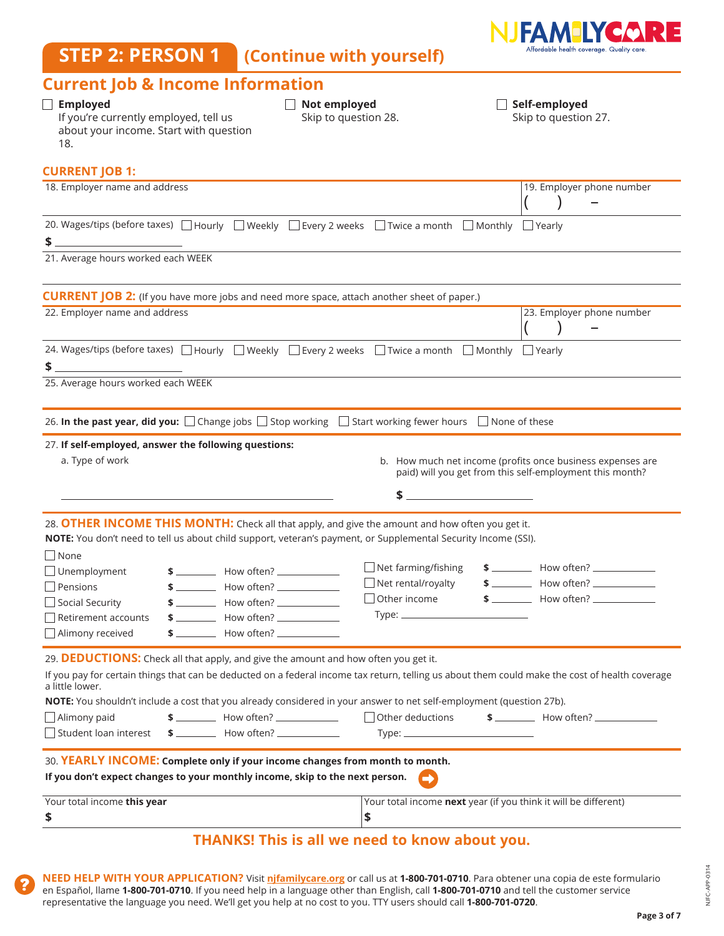## **STEP 2: PERSON 1 (Continue with yourself)**



### **Current Job & Income Information**

| Carrent job & income information<br>$\Box$ Employed<br>If you're currently employed, tell us<br>about your income. Start with question<br>18.                                                                                                                                                                                                                                                                                                      | $\Box$ Not employed<br>Skip to question 28.                                                     | $\Box$ Self-employed<br>Skip to question 27.                                                                                            |
|----------------------------------------------------------------------------------------------------------------------------------------------------------------------------------------------------------------------------------------------------------------------------------------------------------------------------------------------------------------------------------------------------------------------------------------------------|-------------------------------------------------------------------------------------------------|-----------------------------------------------------------------------------------------------------------------------------------------|
| <b>CURRENT JOB 1:</b>                                                                                                                                                                                                                                                                                                                                                                                                                              |                                                                                                 |                                                                                                                                         |
| 18. Employer name and address                                                                                                                                                                                                                                                                                                                                                                                                                      |                                                                                                 | 19. Employer phone number                                                                                                               |
| 20. Wages/tips (before taxes) a Hourly Bueekly Bevery 2 weeks a Twice a month Monthly Bearly                                                                                                                                                                                                                                                                                                                                                       |                                                                                                 |                                                                                                                                         |
| 21. Average hours worked each WEEK                                                                                                                                                                                                                                                                                                                                                                                                                 |                                                                                                 |                                                                                                                                         |
| <b>CURRENT JOB 2:</b> (If you have more jobs and need more space, attach another sheet of paper.)                                                                                                                                                                                                                                                                                                                                                  |                                                                                                 |                                                                                                                                         |
| 22. Employer name and address                                                                                                                                                                                                                                                                                                                                                                                                                      |                                                                                                 | 23. Employer phone number                                                                                                               |
| 24. Wages/tips (before taxes) a Hourly a Hourly B Weekly B Every 2 weeks a Twice a month a Monthly a Yearly<br><u> 1980 - Antonio Alemania, prima postala provincia (n. 1918)</u><br>\$                                                                                                                                                                                                                                                            |                                                                                                 |                                                                                                                                         |
| 25. Average hours worked each WEEK                                                                                                                                                                                                                                                                                                                                                                                                                 |                                                                                                 |                                                                                                                                         |
| 26. In the past year, did you: □ Change jobs □ Stop working □ Start working fewer hours □ None of these                                                                                                                                                                                                                                                                                                                                            |                                                                                                 |                                                                                                                                         |
| 27. If self-employed, answer the following questions:<br>a. Type of work<br><u> 1989 - Andrea Stadt Britain, amerikansk politiker (d. 1989)</u>                                                                                                                                                                                                                                                                                                    |                                                                                                 | b. How much net income (profits once business expenses are<br>paid) will you get from this self-employment this month?<br>$\frac{1}{2}$ |
| 28. OTHER INCOME THIS MONTH: Check all that apply, and give the amount and how often you get it.<br>NOTE: You don't need to tell us about child support, veteran's payment, or Supplemental Security Income (SSI).<br>$\Box$ None<br>$\Box$ Unemployment<br>$$$ $$\sim$ How often? $$\sim$<br>$\Box$ Pensions<br>$$$ $$$ $\qquad$ How often? $\qquad$<br>$$$ $$$ $$$<br>$\Box$ Social Security<br>Alimony received<br>$$$ $\sim$ How often? $\sim$ | $\Box$ Net farming/fishing<br>$\Box$ Net rental/royalty<br>$\Box$ Other income<br>$Type:$ $\_\$ | $$$ $$$ $$$<br>$$$ $$$ $$$<br>$$$ $$$ $$$                                                                                               |
|                                                                                                                                                                                                                                                                                                                                                                                                                                                    |                                                                                                 |                                                                                                                                         |
| 29. DEDUCTIONS: Check all that apply, and give the amount and how often you get it.<br>If you pay for certain things that can be deducted on a federal income tax return, telling us about them could make the cost of health coverage<br>a little lower.<br>NOTE: You shouldn't include a cost that you already considered in your answer to net self-employment (question 27b).<br>$$$ $$$ $$$<br>$\Box$ Alimony paid                            | $\Box$ Other deductions                                                                         | $$$ $$$                                                                                                                                 |
| Student loan interest<br>$$$ $$$ $$$                                                                                                                                                                                                                                                                                                                                                                                                               |                                                                                                 |                                                                                                                                         |
| 30. YEARLY INCOME: Complete only if your income changes from month to month.<br>If you don't expect changes to your monthly income, skip to the next person.                                                                                                                                                                                                                                                                                       |                                                                                                 |                                                                                                                                         |
| Your total income this year<br>\$                                                                                                                                                                                                                                                                                                                                                                                                                  | \$                                                                                              | Your total income next year (if you think it will be different)                                                                         |
|                                                                                                                                                                                                                                                                                                                                                                                                                                                    | <b>THANKS! This is all we need to know about you.</b>                                           |                                                                                                                                         |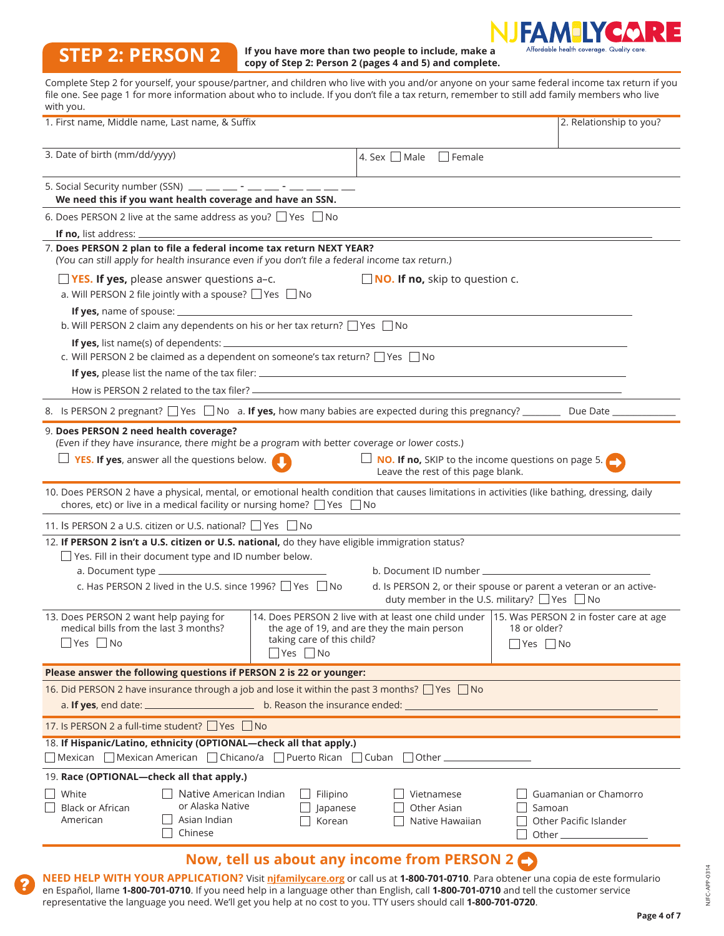#### **AEIYCO** RE FΔ Affordable health coverage. Quality care.

### **STEP 2: PERSON 2**

**If you have more than two people to include, make a copy of Step 2: Person 2 (pages 4 and 5) and complete.** 

Complete Step 2 for yourself, your spouse/partner, and children who live with you and/or anyone on your same federal income tax return if you file one. See page 1 for more information about who to include. If you don't file a tax return, remember to still add family members who live  $with your$ 

| with you.<br>1. First name, Middle name, Last name, & Suffix                                                                                                                                                                                                                                                                                                           |                                              |                                                                                                 | 2. Relationship to you?                                                                                                     |
|------------------------------------------------------------------------------------------------------------------------------------------------------------------------------------------------------------------------------------------------------------------------------------------------------------------------------------------------------------------------|----------------------------------------------|-------------------------------------------------------------------------------------------------|-----------------------------------------------------------------------------------------------------------------------------|
|                                                                                                                                                                                                                                                                                                                                                                        |                                              |                                                                                                 |                                                                                                                             |
| 3. Date of birth (mm/dd/yyyy)                                                                                                                                                                                                                                                                                                                                          |                                              | 4. Sex $\Box$ Male<br>$\Box$ Female                                                             |                                                                                                                             |
| 5. Social Security number (SSN) $\frac{1}{2}$ $\frac{1}{2}$ $\frac{1}{2}$ $\frac{1}{2}$ $\frac{1}{2}$ $\frac{1}{2}$ $\frac{1}{2}$ $\frac{1}{2}$ $\frac{1}{2}$ $\frac{1}{2}$ $\frac{1}{2}$ $\frac{1}{2}$ $\frac{1}{2}$ $\frac{1}{2}$ $\frac{1}{2}$ $\frac{1}{2}$ $\frac{1}{2}$ $\frac{1}{2}$ $\frac{1}{2}$<br>We need this if you want health coverage and have an SSN. |                                              |                                                                                                 |                                                                                                                             |
| 6. Does PERSON 2 live at the same address as you? $\Box$ Yes $\Box$ No                                                                                                                                                                                                                                                                                                 |                                              |                                                                                                 |                                                                                                                             |
| <b>If no, list address: _</b>                                                                                                                                                                                                                                                                                                                                          |                                              |                                                                                                 |                                                                                                                             |
| 7. Does PERSON 2 plan to file a federal income tax return NEXT YEAR?<br>(You can still apply for health insurance even if you don't file a federal income tax return.)                                                                                                                                                                                                 |                                              |                                                                                                 |                                                                                                                             |
| $\Box$ YES. If yes, please answer questions a-c.<br>a. Will PERSON 2 file jointly with a spouse? $\Box$ Yes $\Box$ No                                                                                                                                                                                                                                                  |                                              | NO. If no, skip to question c.                                                                  |                                                                                                                             |
| b. Will PERSON 2 claim any dependents on his or her tax return? $\Box$ Yes $\Box$ No                                                                                                                                                                                                                                                                                   |                                              |                                                                                                 |                                                                                                                             |
| c. Will PERSON 2 be claimed as a dependent on someone's tax return? $\Box$ Yes $\Box$ No                                                                                                                                                                                                                                                                               |                                              |                                                                                                 |                                                                                                                             |
|                                                                                                                                                                                                                                                                                                                                                                        |                                              |                                                                                                 |                                                                                                                             |
|                                                                                                                                                                                                                                                                                                                                                                        |                                              |                                                                                                 |                                                                                                                             |
| 8. Is PERSON 2 pregnant? $\Box$ Yes $\Box$ No a. If yes, how many babies are expected during this pregnancy? _________ Due Date __                                                                                                                                                                                                                                     |                                              |                                                                                                 |                                                                                                                             |
| 9. Does PERSON 2 need health coverage?<br>(Even if they have insurance, there might be a program with better coverage or lower costs.)<br>$\Box$ YES. If yes, answer all the questions below.                                                                                                                                                                          |                                              | $\Box$ NO. If no, SKIP to the income questions on page 5.<br>Leave the rest of this page blank. |                                                                                                                             |
| 10. Does PERSON 2 have a physical, mental, or emotional health condition that causes limitations in activities (like bathing, dressing, daily<br>chores, etc) or live in a medical facility or nursing home? $\Box$ Yes $\Box$ No                                                                                                                                      |                                              |                                                                                                 |                                                                                                                             |
| 11. Is PERSON 2 a U.S. citizen or U.S. national? Pes No                                                                                                                                                                                                                                                                                                                |                                              |                                                                                                 |                                                                                                                             |
| 12. If PERSON 2 isn't a U.S. citizen or U.S. national, do they have eligible immigration status?<br>□ Yes. Fill in their document type and ID number below.                                                                                                                                                                                                            |                                              |                                                                                                 |                                                                                                                             |
|                                                                                                                                                                                                                                                                                                                                                                        |                                              |                                                                                                 |                                                                                                                             |
| c. Has PERSON 2 lived in the U.S. since 1996? $\Box$ Yes $\Box$ No                                                                                                                                                                                                                                                                                                     |                                              |                                                                                                 | d. Is PERSON 2, or their spouse or parent a veteran or an active-<br>duty member in the U.S. military? $\Box$ Yes $\Box$ No |
| 13. Does PERSON 2 want help paying for<br>medical bills from the last 3 months?<br>$\exists$ Yes $\Box$ No                                                                                                                                                                                                                                                             | taking care of this child?<br>■ Yes ■ No     | the age of 19, and are they the main person                                                     | 14. Does PERSON 2 live with at least one child under   15. Was PERSON 2 in foster care at age<br>18 or older?<br>$Yes$ No   |
| Please answer the following questions if PERSON 2 is 22 or younger:                                                                                                                                                                                                                                                                                                    |                                              |                                                                                                 |                                                                                                                             |
| 16. Did PERSON 2 have insurance through a job and lose it within the past 3 months? Ves no                                                                                                                                                                                                                                                                             |                                              |                                                                                                 |                                                                                                                             |
| 17. Is PERSON 2 a full-time student? $\Box$ Yes $\Box$ No                                                                                                                                                                                                                                                                                                              |                                              |                                                                                                 |                                                                                                                             |
| 18. If Hispanic/Latino, ethnicity (OPTIONAL-check all that apply.)                                                                                                                                                                                                                                                                                                     |                                              |                                                                                                 |                                                                                                                             |
| □ Mexican □ Mexican American □ Chicano/a □ Puerto Rican □ Cuban □ Other ─                                                                                                                                                                                                                                                                                              |                                              |                                                                                                 |                                                                                                                             |
| 19. Race (OPTIONAL-check all that apply.)                                                                                                                                                                                                                                                                                                                              |                                              |                                                                                                 |                                                                                                                             |
| White<br>Native American Indian<br>or Alaska Native<br><b>Black or African</b><br>Asian Indian<br>American<br>Chinese                                                                                                                                                                                                                                                  | $\Box$ Filipino<br>$\Box$ Japanese<br>Korean | Vietnamese<br>Other Asian<br>Native Hawaiian                                                    | Guamanian or Chamorro<br>Samoan<br>Other Pacific Islander                                                                   |
|                                                                                                                                                                                                                                                                                                                                                                        |                                              | Now, tell us about any income from PERSON 2                                                     |                                                                                                                             |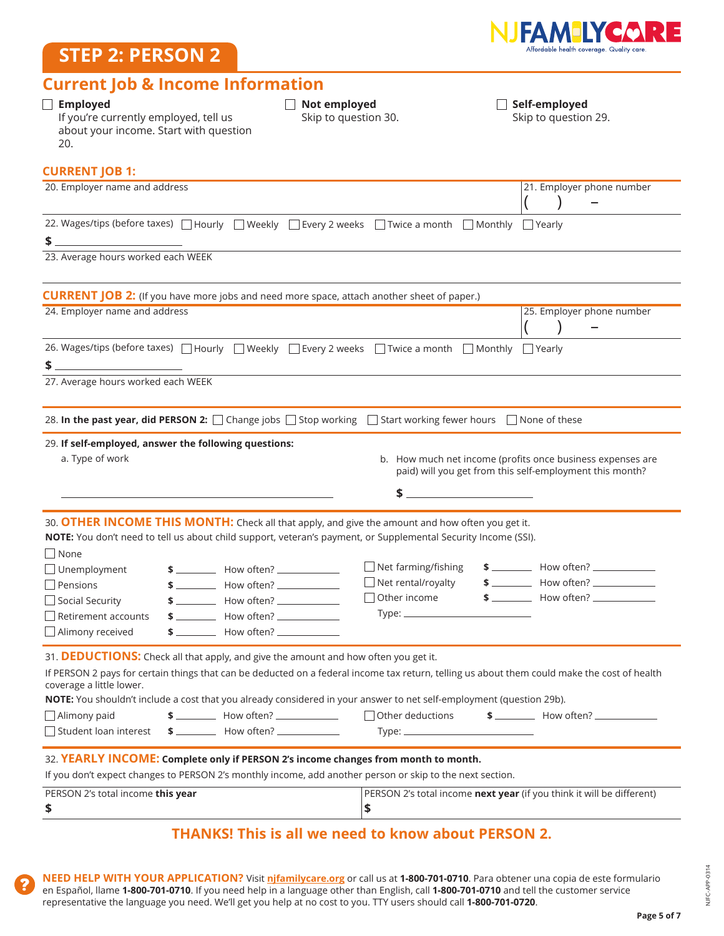### **STEP 2: PERSON 2**



### **Current Job & Income Information**

| $\Box$ Employed<br>If you're currently employed, tell us<br>about your income. Start with question<br>20.                                                                                                                                                                                                                                                                                                                                                                                             | $\Box$ Not employed<br>Skip to question 30.                                    | $\Box$ Self-employed<br>Skip to question 29.                                                                                                 |
|-------------------------------------------------------------------------------------------------------------------------------------------------------------------------------------------------------------------------------------------------------------------------------------------------------------------------------------------------------------------------------------------------------------------------------------------------------------------------------------------------------|--------------------------------------------------------------------------------|----------------------------------------------------------------------------------------------------------------------------------------------|
| <b>CURRENT JOB 1:</b>                                                                                                                                                                                                                                                                                                                                                                                                                                                                                 |                                                                                |                                                                                                                                              |
| 20. Employer name and address                                                                                                                                                                                                                                                                                                                                                                                                                                                                         |                                                                                | 21. Employer phone number                                                                                                                    |
| 22. Wages/tips (before taxes)   Hourly   Weekly   Every 2 weeks   Twice a month   Monthly   Yearly<br>\$                                                                                                                                                                                                                                                                                                                                                                                              |                                                                                |                                                                                                                                              |
| 23. Average hours worked each WEEK                                                                                                                                                                                                                                                                                                                                                                                                                                                                    |                                                                                |                                                                                                                                              |
| <b>CURRENT JOB 2:</b> (If you have more jobs and need more space, attach another sheet of paper.)                                                                                                                                                                                                                                                                                                                                                                                                     |                                                                                |                                                                                                                                              |
| 24. Employer name and address                                                                                                                                                                                                                                                                                                                                                                                                                                                                         |                                                                                | 25. Employer phone number                                                                                                                    |
| 26. Wages/tips (before taxes)   Hourly   Weekly   Every 2 weeks   Twice a month   Monthly   Yearly<br>\$                                                                                                                                                                                                                                                                                                                                                                                              |                                                                                |                                                                                                                                              |
| 27. Average hours worked each WEEK                                                                                                                                                                                                                                                                                                                                                                                                                                                                    |                                                                                |                                                                                                                                              |
| 28. In the past year, did PERSON 2: □ Change jobs □ Stop working □ Start working fewer hours □ None of these                                                                                                                                                                                                                                                                                                                                                                                          |                                                                                |                                                                                                                                              |
| 29. If self-employed, answer the following questions:<br>a. Type of work<br><u> 1989 - Johann Stoff, amerikansk politiker (* 1908)</u>                                                                                                                                                                                                                                                                                                                                                                |                                                                                | b. How much net income (profits once business expenses are<br>paid) will you get from this self-employment this month?                       |
| 30. OTHER INCOME THIS MONTH: Check all that apply, and give the amount and how often you get it.<br>NOTE: You don't need to tell us about child support, veteran's payment, or Supplemental Security Income (SSI).                                                                                                                                                                                                                                                                                    |                                                                                |                                                                                                                                              |
| None<br>$\Box$ Unemployment<br>$$$ $$$<br>$$$ $$$<br>$\Box$ Pensions<br>$$$ $$$<br>Social Security<br>$$$ $$$<br>□ Retirement accounts<br>Alimony received<br>$$$ $$$ $\qquad$ $\qquad$ $\qquad$ $\qquad$ $\qquad$ $\qquad$ $\qquad$ $\qquad$ $\qquad$ $\qquad$ $\qquad$ $\qquad$ $\qquad$ $\qquad$ $\qquad$ $\qquad$ $\qquad$ $\qquad$ $\qquad$ $\qquad$ $\qquad$ $\qquad$ $\qquad$ $\qquad$ $\qquad$ $\qquad$ $\qquad$ $\qquad$ $\qquad$ $\qquad$ $\qquad$ $\qquad$ $\qquad$ $\qquad$ $\qquad$ $\q$ | $\Box$ Net farming/fishing<br>$\Box$ Net rental/royalty<br>$\Box$ Other income | $$$ $$$ $$$<br>$$$ $$$<br>$$$ $$$ $$$                                                                                                        |
| 31. DEDUCTIONS: Check all that apply, and give the amount and how often you get it.<br>coverage a little lower.                                                                                                                                                                                                                                                                                                                                                                                       |                                                                                | If PERSON 2 pays for certain things that can be deducted on a federal income tax return, telling us about them could make the cost of health |
| NOTE: You shouldn't include a cost that you already considered in your answer to net self-employment (question 29b).<br>$\Box$ Alimony paid<br>$$$ $$$                                                                                                                                                                                                                                                                                                                                                | Other deductions                                                               | $$$ $$$                                                                                                                                      |
| Student loan interest<br>$$$ $$$ $$$                                                                                                                                                                                                                                                                                                                                                                                                                                                                  |                                                                                |                                                                                                                                              |
| 32. YEARLY INCOME: Complete only if PERSON 2's income changes from month to month.<br>If you don't expect changes to PERSON 2's monthly income, add another person or skip to the next section.                                                                                                                                                                                                                                                                                                       |                                                                                |                                                                                                                                              |
| PERSON 2's total income this year<br>\$                                                                                                                                                                                                                                                                                                                                                                                                                                                               | \$                                                                             | PERSON 2's total income next year (if you think it will be different)                                                                        |
|                                                                                                                                                                                                                                                                                                                                                                                                                                                                                                       | <b>THANKS! This is all we need to know about PERSON 2.</b>                     |                                                                                                                                              |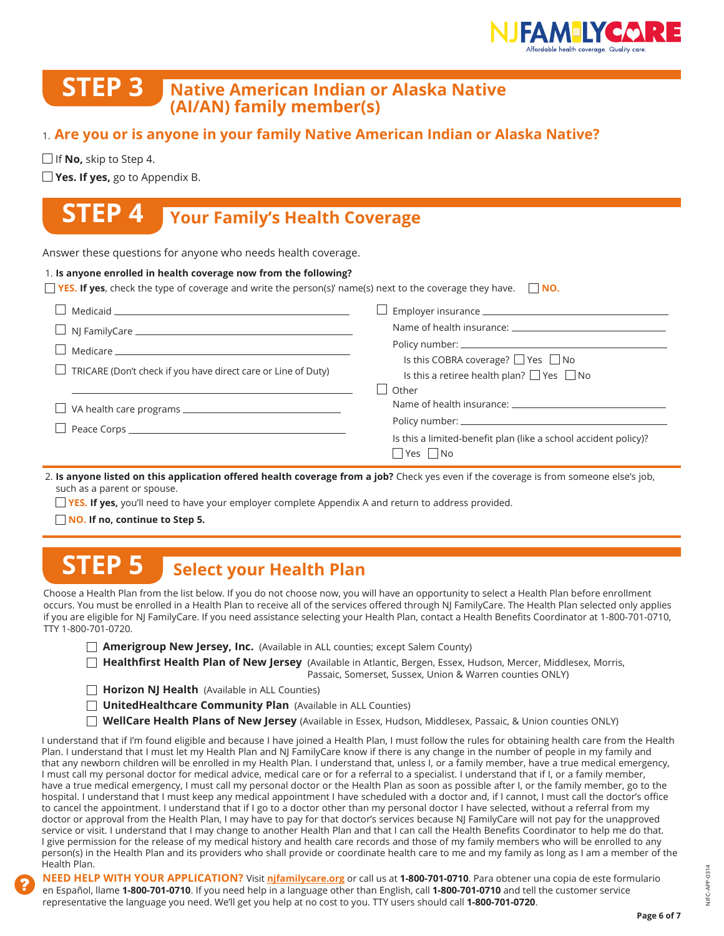

Is this a retiree health plan?  $\Box$  Yes  $\Box$  No

Is this a limited-benefit plan (like a school accident policy)?

Name of health insurance:

Policy number: \_\_

 $\Box$  Yes  $\Box$  No

### **STEP 3 Native American Indian or Alaska Native (AI/AN) family member(s)**

### 1. **Are you or is anyone in your family Native American Indian or Alaska Native?**

 $\Box$  If **No,** skip to Step 4.

**Yes. If yes,** go to Appendix B.

## **STEP 4 Your Family's Health Coverage**

Answer these questions for anyone who needs health coverage.

| 1. Is anyone enrolled in health coverage now from the following?                                                                                                                                                                    |                                              |
|-------------------------------------------------------------------------------------------------------------------------------------------------------------------------------------------------------------------------------------|----------------------------------------------|
| <b>The YES.</b> If yes, check the type of coverage and write the person(s)' name(s) next to the coverage they have. $\Box$ NO.                                                                                                      |                                              |
| $\Box$ Medicaid                                                                                                                                                                                                                     | Employer insurance ___________________       |
| $\Box$ NJ FamilyCare $\_\_\_\_\_\_\_\_\_\_$                                                                                                                                                                                         | Name of health insurance: Name of health in  |
| <u>l</u> Medicare and the Medicare and the Second Second Second Second Second Second Second Second Second Second Second Second Second Second Second Second Second Second Second Second Second Second Second Second Second Second Se | Is this COBRA coverage? $\Box$ Yes $\Box$ No |

 $\Box$  TRICARE (Don't check if you have direct care or Line of Duty)

|  |  |  |  | $\Box$ VA health care programs $\_$ |  |
|--|--|--|--|-------------------------------------|--|
|--|--|--|--|-------------------------------------|--|

□ Peace Corps <u>= 2000 manual contract</u>

2. **Is anyone listed on this application offered health coverage from a job?** Check yes even if the coverage is from someone else's job, such as a parent or spouse.

 $\Box$  Other

**YES. If yes,** you'll need to have your employer complete Appendix A and return to address provided.

**NO. If no, continue to Step 5.**

## **STEP 5 Select your Health Plan**

Choose a Health Plan from the list below. If you do not choose now, you will have an opportunity to select a Health Plan before enrollment occurs. You must be enrolled in a Health Plan to receive all of the services offered through NJ FamilyCare. The Health Plan selected only applies if you are eligible for NJ FamilyCare. If you need assistance selecting your Health Plan, contact a Health Benefits Coordinator at 1-800-701-0710, TTY 1-800-701-0720.

**Amerigroup New Jersey, Inc.** (Available in ALL counties; except Salem County)

 **Healthfirst Health Plan of New Jersey** (Available in Atlantic, Bergen, Essex, Hudson, Mercer, Middlesex, Morris, Passaic, Somerset, Sussex, Union & Warren counties ONLY)

**Horizon NJ Health** (Available in ALL Counties)

- **UnitedHealthcare Community Plan** (Available in ALL Counties)
- **WellCare Health Plans of New Jersey** (Available in Essex, Hudson, Middlesex, Passaic, & Union counties ONLY)

I understand that if I'm found eligible and because I have joined a Health Plan, I must follow the rules for obtaining health care from the Health Plan. I understand that I must let my Health Plan and NJ FamilyCare know if there is any change in the number of people in my family and that any newborn children will be enrolled in my Health Plan. I understand that, unless I, or a family member, have a true medical emergency, I must call my personal doctor for medical advice, medical care or for a referral to a specialist. I understand that if I, or a family member, have a true medical emergency, I must call my personal doctor or the Health Plan as soon as possible after I, or the family member, go to the hospital. I understand that I must keep any medical appointment I have scheduled with a doctor and, if I cannot, I must call the doctor's office to cancel the appointment. I understand that if I go to a doctor other than my personal doctor I have selected, without a referral from my doctor or approval from the Health Plan, I may have to pay for that doctor's services because NJ FamilyCare will not pay for the unapproved service or visit. I understand that I may change to another Health Plan and that I can call the Health Benefits Coordinator to help me do that. I give permission for the release of my medical history and health care records and those of my family members who will be enrolled to any person(s) in the Health Plan and its providers who shall provide or coordinate health care to me and my family as long as I am a member of the Health Plan.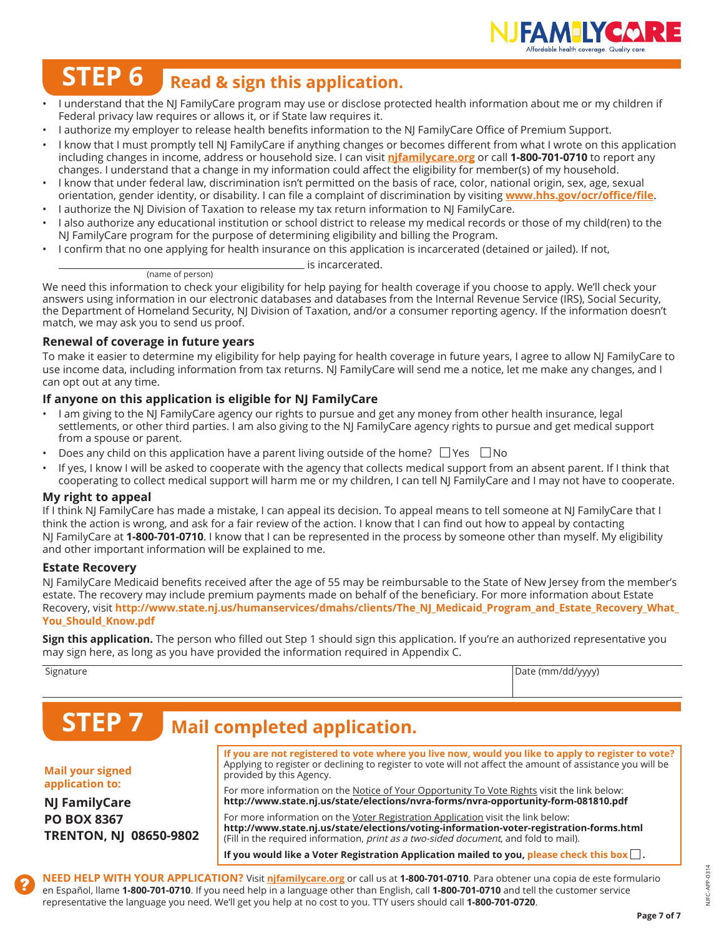

# **STEP 6** Read & sign this application.

- I understand that the NJ FamilyCare program may use or disclose protected health information about me or my children if Federal privacy law requires or allows it, or if State law requires it.
- I authorize my employer to release health benefits information to the NJ FamilyCare Office of Premium Support.
- I know that I must promptly tell NJ FamilyCare if anything changes or becomes different from what I wrote on this application including changes in income, address or household size. I can visit **njfamilycare.org** or call **1-800-701-0710** to report any changes. I understand that a change in my information could affect the eligibility for member(s) of my household.
- I know that under federal law, discrimination isn't permitted on the basis of race, color, national origin, sex, age, sexual orientation, gender identity, or disability. I can file a complaint of discrimination by visiting **www.hhs.gov/ocr/office/file**.
- I authorize the NJ Division of Taxation to release my tax return information to NJ FamilyCare.
- I also authorize any educational institution or school district to release my medical records or those of my child(ren) to the NJ FamilyCare program for the purpose of determining eligibility and billing the Program.
- I confirm that no one applying for health insurance on this application is incarcerated (detained or jailed). If not,
	- is incarcerated. (name of person)

We need this information to check your eligibility for help paying for health coverage if you choose to apply. We'll check your answers using information in our electronic databases and databases from the Internal Revenue Service (IRS), Social Security, the Department of Homeland Security, NJ Division of Taxation, and/or a consumer reporting agency. If the information doesn't match, we may ask you to send us proof.

#### **Renewal of coverage in future years**

To make it easier to determine my eligibility for help paying for health coverage in future years, I agree to allow NJ FamilyCare to use income data, including information from tax returns. NJ FamilyCare will send me a notice, let me make any changes, and I can opt out at any time.

#### **If anyone on this application is eligible for NJ FamilyCare**

- I am giving to the NJ FamilyCare agency our rights to pursue and get any money from other health insurance, legal settlements, or other third parties. I am also giving to the NJ FamilyCare agency rights to pursue and get medical support from a spouse or parent.
- Does any child on this application have a parent living outside of the home?  $\Box$  Yes  $\Box$  No
- If yes, I know I will be asked to cooperate with the agency that collects medical support from an absent parent. If I think that cooperating to collect medical support will harm me or my children, I can tell NJ FamilyCare and I may not have to cooperate.

#### **My right to appeal**

If I think NJ FamilyCare has made a mistake, I can appeal its decision. To appeal means to tell someone at NJ FamilyCare that I think the action is wrong, and ask for a fair review of the action. I know that I can find out how to appeal by contacting NJ FamilyCare at **1-800-701-0710**. I know that I can be represented in the process by someone other than myself. My eligibility and other important information will be explained to me.

#### **Estate Recovery**

NJ FamilyCare Medicaid benefits received after the age of 55 may be reimbursable to the State of New Jersey from the member's estate. The recovery may include premium payments made on behalf of the beneficiary. For more information about Estate Recovery, visit http://www.state.nj.us/humanservices/dmahs/clients/The NJ\_Medicaid\_Program\_and\_Estate\_Recovery\_What **You\_Should\_Know.pdf**

**Sign this application.** The person who filled out Step 1 should sign this application. If you're an authorized representative you may sign here, as long as you have provided the information required in Appendix C.

Signature **Date (mm/dd/yyyy)** and Date (mm/dd/yyyy) and Date (mm/dd/yyyy) and Date (mm/dd/yyyy)

## **STEP 7 Mail completed application.**

#### **Mail your signed application to:**

**NJ FamilyCare PO BOX 8367 TRENTON, NJ 08650-9802**

**If you are not registered to vote where you live now, would you like to apply to register to vote?**  Applying to register or declining to register to vote will not affect the amount of assistance you will be provided by this Agency. For more information on the Notice of Your Opportunity To Vote Rights visit the link below: **http://www.state.nj.us/state/elections/nvra-forms/nvra-opportunity-form-081810.pdf**

For more information on the Voter Registration Application visit the link below: **http://www.state.nj.us/state/elections/voting-information-voter-registration-forms.html** (Fill in the required information, print as a two-sided document, and fold to mail).

**If you would like a Voter Registration Application mailed to you, please check this box .**

**NEED HELP WITH YOUR APPLICATION?** Visit **njfamilycare.org** or call us at **1-800-701-0710**. Para obtener una copia de este formulario en Español, llame **1-800-701-0710**. If you need help in a language other than English, call **1-800-701-0710** and tell the customer service representative the language you need. We'll get you help at no cost to you. TTY users should call **1-800-701-0720**.

**Page 7 of 7**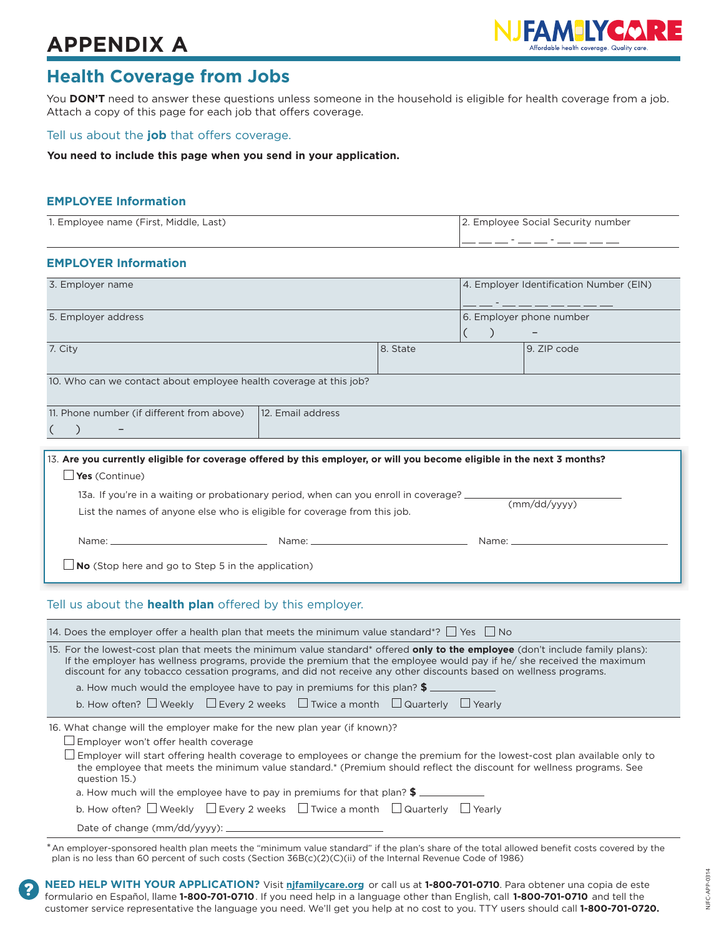## **APPENDIX A**



### **Health Coverage from Jobs**

You **DON'T** need to answer these questions unless someone in the household is eligible for health coverage from a job. Attach a copy of this page for each job that offers coverage.

#### Tell us about the **job** that offers coverage.

**You need to include this page when you send in your application.**

#### **EMPLOYEE Information**

| 1. Employee name (First, Middle, Last) | 2. Employee Social Security number |
|----------------------------------------|------------------------------------|
|                                        |                                    |

#### **EMPLOYER Information**

| 3. Employer name                                                   |          |  | 4. Employer Identification Number (EIN)              |  |
|--------------------------------------------------------------------|----------|--|------------------------------------------------------|--|
| 5. Employer address                                                |          |  | 6. Employer phone number<br>$\overline{\phantom{0}}$ |  |
| 7. City                                                            | 8. State |  | 9. ZIP code                                          |  |
| 10. Who can we contact about employee health coverage at this job? |          |  |                                                      |  |
| 12. Email address<br>11. Phone number (if different from above)    |          |  |                                                      |  |
|                                                                    |          |  |                                                      |  |

| 13. Are you currently eligible for coverage offered by this employer, or will you become eligible in the next 3 months?                                                                                                        |                                                                                                                                                                                                                                |              |  |  |
|--------------------------------------------------------------------------------------------------------------------------------------------------------------------------------------------------------------------------------|--------------------------------------------------------------------------------------------------------------------------------------------------------------------------------------------------------------------------------|--------------|--|--|
| Yes (Continue)                                                                                                                                                                                                                 |                                                                                                                                                                                                                                |              |  |  |
| 13a. If you're in a waiting or probationary period, when can you enroll in coverage? $\equiv$                                                                                                                                  |                                                                                                                                                                                                                                |              |  |  |
| List the names of anyone else who is eligible for coverage from this job.                                                                                                                                                      |                                                                                                                                                                                                                                | (mm/dd/vvvv) |  |  |
| Name: Name and the state of the state of the state of the state of the state of the state of the state of the state of the state of the state of the state of the state of the state of the state of the state of the state of | Name: Name and the state of the state of the state of the state of the state of the state of the state of the state of the state of the state of the state of the state of the state of the state of the state of the state of |              |  |  |
|                                                                                                                                                                                                                                |                                                                                                                                                                                                                                |              |  |  |
| <b>No</b> (Stop here and go to Step 5 in the application)                                                                                                                                                                      |                                                                                                                                                                                                                                |              |  |  |

#### Tell us about the **health plan** offered by this employer.

| 14. Does the employer offer a health plan that meets the minimum value standard*? $\Box$ Yes $\Box$ No                                                                                                                                                                                                                                                                              |
|-------------------------------------------------------------------------------------------------------------------------------------------------------------------------------------------------------------------------------------------------------------------------------------------------------------------------------------------------------------------------------------|
| 15. For the lowest-cost plan that meets the minimum value standard* offered <b>only to the employee</b> (don't include family plans):<br>If the employer has wellness programs, provide the premium that the employee would pay if he/ she received the maximum<br>discount for any tobacco cessation programs, and did not receive any other discounts based on wellness programs. |
| a. How much would the employee have to pay in premiums for this plan? $\frac{2}{3}$ $\equiv$                                                                                                                                                                                                                                                                                        |
| b. How often? $\Box$ Weekly $\Box$ Every 2 weeks $\Box$ Twice a month $\Box$ Quarterly $\Box$ Yearly                                                                                                                                                                                                                                                                                |
| 16. What change will the employer make for the new plan year (if known)?                                                                                                                                                                                                                                                                                                            |
| $\Box$ Employer won't offer health coverage                                                                                                                                                                                                                                                                                                                                         |
| $\Box$ Employer will start offering health coverage to employees or change the premium for the lowest-cost plan available only to<br>the employee that meets the minimum value standard.* (Premium should reflect the discount for wellness programs, See<br>question 15.)                                                                                                          |
| a. How much will the employee have to pay in premiums for that plan? \$                                                                                                                                                                                                                                                                                                             |
| b. How often? $\Box$ Weekly $\Box$ Every 2 weeks $\Box$ Twice a month $\Box$ Quarterly $\Box$ Yearly                                                                                                                                                                                                                                                                                |
|                                                                                                                                                                                                                                                                                                                                                                                     |
|                                                                                                                                                                                                                                                                                                                                                                                     |

\*An employer-sponsored health plan meets the "minimum value standard" if the plan's share of the total allowed benefit costs covered by the plan is no less than 60 percent of such costs (Section 36B(c)(2)(C)(ii) of the Internal Revenue Code of 1986)

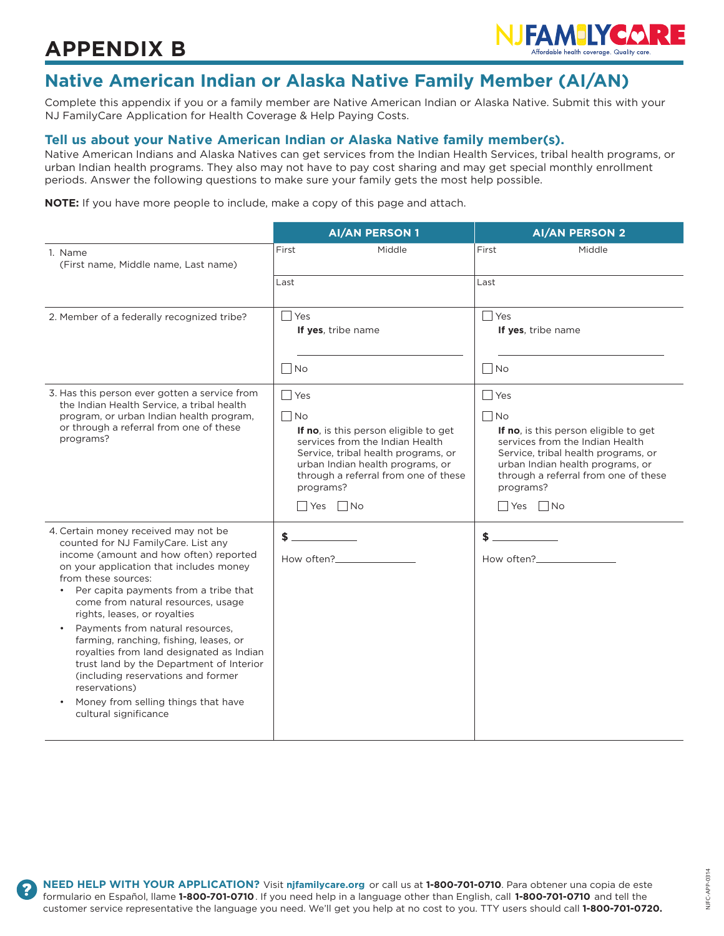## **APPENDIX B**



### **Native American Indian or Alaska Native Family Member (AI/AN)**

Complete this appendix if you or a family member are Native American Indian or Alaska Native. Submit this with your NJ FamilyCare Application for Health Coverage & Help Paying Costs.

#### **Tell us about your Native American Indian or Alaska Native family member(s).**

Native American Indians and Alaska Natives can get services from the Indian Health Services, tribal health programs, or urban Indian health programs. They also may not have to pay cost sharing and may get special monthly enrollment periods. Answer the following questions to make sure your family gets the most help possible.

**NOTE:** If you have more people to include, make a copy of this page and attach.

|                                                                                                                                                                                                                                                                                                                                                                                                                                                                                                                                                                                                     | <b>AI/AN PERSON 1</b>                                                                                                                                                                                                                                       | <b>AI/AN PERSON 2</b>                                                                                                                                                                                                                                       |
|-----------------------------------------------------------------------------------------------------------------------------------------------------------------------------------------------------------------------------------------------------------------------------------------------------------------------------------------------------------------------------------------------------------------------------------------------------------------------------------------------------------------------------------------------------------------------------------------------------|-------------------------------------------------------------------------------------------------------------------------------------------------------------------------------------------------------------------------------------------------------------|-------------------------------------------------------------------------------------------------------------------------------------------------------------------------------------------------------------------------------------------------------------|
| 1. Name<br>(First name, Middle name, Last name)                                                                                                                                                                                                                                                                                                                                                                                                                                                                                                                                                     | First<br>Middle                                                                                                                                                                                                                                             | First<br>Middle                                                                                                                                                                                                                                             |
|                                                                                                                                                                                                                                                                                                                                                                                                                                                                                                                                                                                                     | Last                                                                                                                                                                                                                                                        | Last                                                                                                                                                                                                                                                        |
| 2. Member of a federally recognized tribe?                                                                                                                                                                                                                                                                                                                                                                                                                                                                                                                                                          | <b>Yes</b><br>If yes, tribe name<br>N <sub>O</sub>                                                                                                                                                                                                          | l Yes<br>If yes, tribe name<br>$\Box$ No                                                                                                                                                                                                                    |
| 3. Has this person ever gotten a service from<br>the Indian Health Service, a tribal health<br>program, or urban Indian health program,<br>or through a referral from one of these<br>programs?                                                                                                                                                                                                                                                                                                                                                                                                     | $\Box$ Yes<br>$\Box$ No<br>If no, is this person eligible to get<br>services from the Indian Health<br>Service, tribal health programs, or<br>urban Indian health programs, or<br>through a referral from one of these<br>programs?<br>$\Box$ Yes $\Box$ No | $\Box$ Yes<br>$\Box$ No<br>If no, is this person eligible to get<br>services from the Indian Health<br>Service, tribal health programs, or<br>urban Indian health programs, or<br>through a referral from one of these<br>programs?<br>$\Box$ Yes $\Box$ No |
| 4. Certain money received may not be<br>counted for NJ FamilyCare. List any<br>income (amount and how often) reported<br>on your application that includes money<br>from these sources:<br>Per capita payments from a tribe that<br>come from natural resources, usage<br>rights, leases, or royalties<br>Payments from natural resources,<br>farming, ranching, fishing, leases, or<br>royalties from land designated as Indian<br>trust land by the Department of Interior<br>(including reservations and former<br>reservations)<br>Money from selling things that have<br>cultural significance | \$<br>How often?                                                                                                                                                                                                                                            | \$<br>How often?                                                                                                                                                                                                                                            |